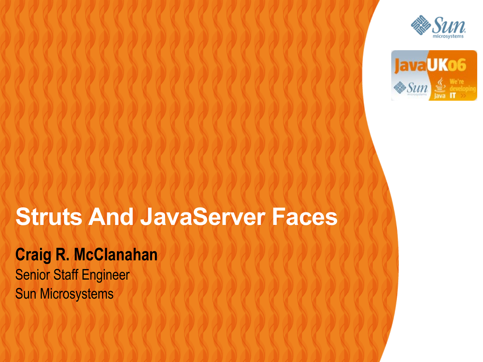



#### **Struts And JavaServer Faces**

1999999999999999999999999

,,,,,,,,,,,,,,,,,,,,,,,,,

,,,,,,,,,,,,,,,,,,,,,,,,,

,,,,,,,,,,,,,,,,,,,,,,,,,,,,

,,,,,,,,,,,,,,,,,,,,,,,,,,,,,,,

 $\mathcal{O} \mathcal{O} \mathcal{O} \mathcal{O} \mathcal{O} \mathcal{O} \mathcal{O} \mathcal{O} \mathcal{O} \mathcal{O} \mathcal{O} \mathcal{O} \mathcal{O} \mathcal{O} \mathcal{O} \mathcal{O} \mathcal{O} \mathcal{O} \mathcal{O} \mathcal{O} \mathcal{O} \mathcal{O} \mathcal{O} \mathcal{O} \mathcal{O} \mathcal{O} \mathcal{O} \mathcal{O} \mathcal{O} \mathcal{O} \mathcal{O} \mathcal{O} \mathcal{O} \mathcal{O} \mathcal{O} \mathcal{O} \mathcal{$ 

**Craig R. McClanahan** Senior Staff Engineer Sun Microsystems0000000000000000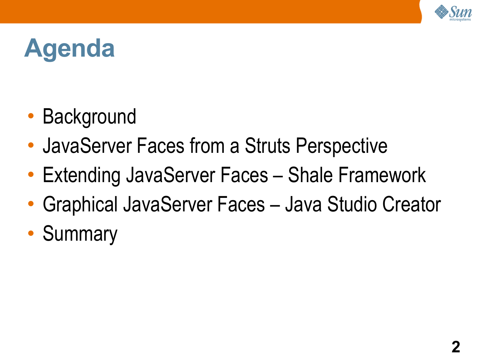

# **Agenda**

- Background
- JavaServer Faces from a Struts Perspective
- Extending JavaServer Faces Shale Framework
- Graphical JavaServer Faces Java Studio Creator
- Summary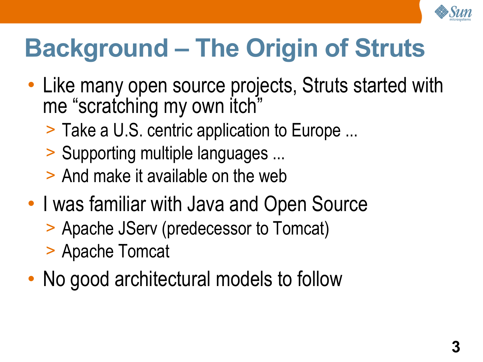

# **Background – The Origin of Struts**

- Like many open source projects, Struts started with me "scratching my own itch"
	- > Take a U.S. centric application to Europe ...
	- > Supporting multiple languages ...
	- > And make it available on the web
- I was familiar with Java and Open Source
	- > Apache JServ (predecessor to Tomcat)
	- > Apache Tomcat
- No good architectural models to follow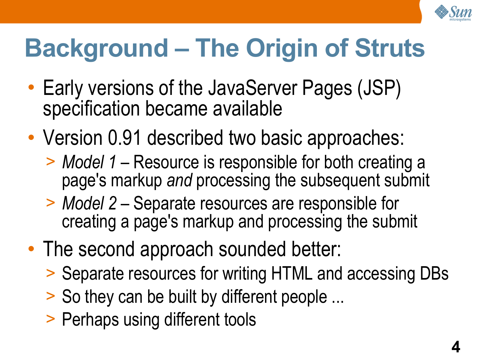

# **Background – The Origin of Struts**

- Early versions of the JavaServer Pages (JSP) specification became available
- Version 0.91 described two basic approaches:
	- > *Model 1* Resource is responsible for both creating a page's markup *and* processing the subsequent submit
	- > *Model 2 –* Separate resources are responsible for creating a page's markup and processing the submit
- The second approach sounded better:
	- > Separate resources for writing HTML and accessing DBs
	- > So they can be built by different people ...
	- > Perhaps using different tools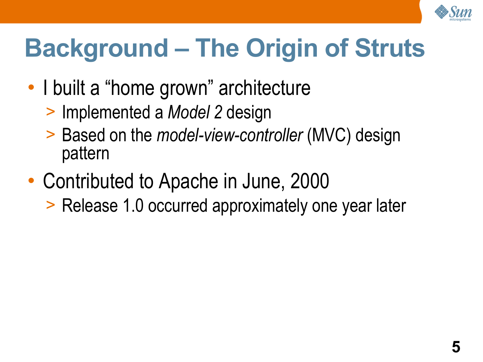

# **Background – The Origin of Struts**

- I built a "home grown" architecture
	- > Implemented a *Model 2* design
	- > Based on the *model-view-controller* (MVC) design pattern
- Contributed to Apache in June, 2000
	- > Release 1.0 occurred approximately one year later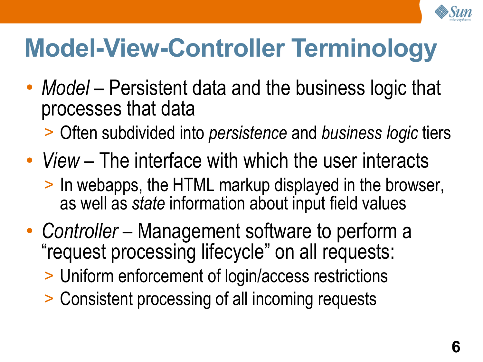

# **Model-View-Controller Terminology**

• *Model* – Persistent data and the business logic that processes that data

> Often subdivided into *persistence* and *business logic* tiers

- *View* The interface with which the user interacts
	- > In webapps, the HTML markup displayed in the browser, as well as *state* information about input field values
- *Controller* Management software to perform a "request processing lifecycle" on all requests:
	- > Uniform enforcement of login/access restrictions
	- > Consistent processing of all incoming requests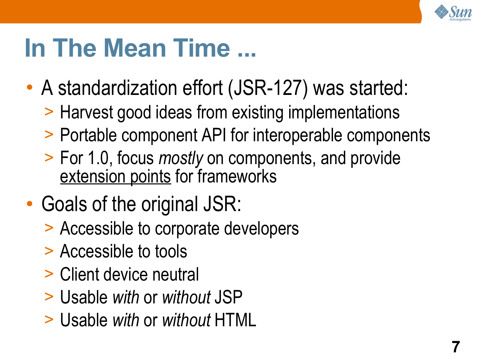

#### **In The Mean Time ...**

- A standardization effort (JSR-127) was started:
	- > Harvest good ideas from existing implementations
	- > Portable component API for interoperable components
	- > For 1.0, focus *mostly* on components, and provide extension points for frameworks
- Goals of the original JSR:
	- > Accessible to corporate developers
	- > Accessible to tools
	- > Client device neutral
	- > Usable *with* or *without* JSP
	- > Usable *with* or *without* HTML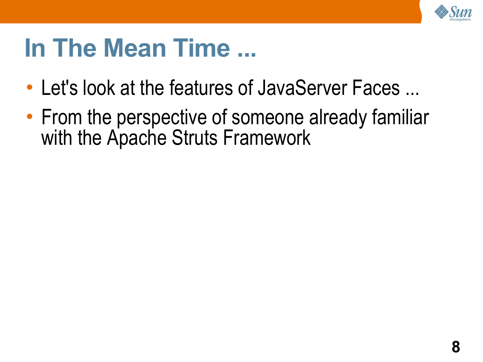

#### **In The Mean Time ...**

- Let's look at the features of JavaServer Faces ...
- From the perspective of someone already familiar with the Apache Struts Framework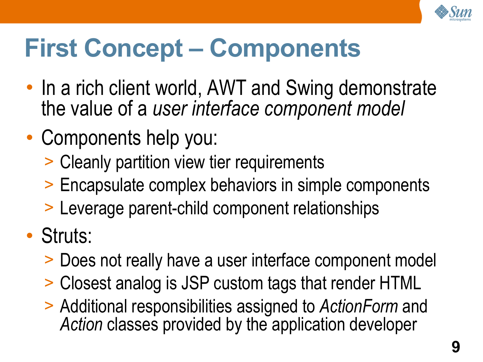

# **First Concept – Components**

- In a rich client world, AWT and Swing demonstrate the value of a *user interface component model*
- Components help you:
	- > Cleanly partition view tier requirements
	- > Encapsulate complex behaviors in simple components
	- > Leverage parent-child component relationships
- Struts:
	- > Does not really have a user interface component model
	- > Closest analog is JSP custom tags that render HTML
	- > Additional responsibilities assigned to *ActionForm* and *Action* classes provided by the application developer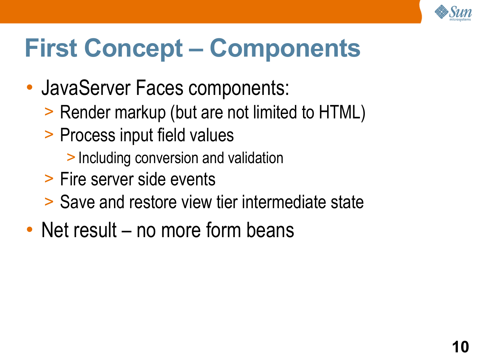

# **First Concept – Components**

- JavaServer Faces components:
	- > Render markup (but are not limited to HTML)
	- > Process input field values
		- > Including conversion and validation
	- > Fire server side events
	- > Save and restore view tier intermediate state
- Net result no more form beans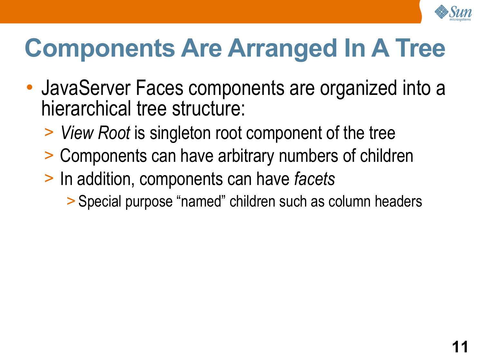

# **Components Are Arranged In A Tree**

- JavaServer Faces components are organized into a hierarchical tree structure:
	- > *View Root* is singleton root component of the tree
	- > Components can have arbitrary numbers of children
	- > In addition, components can have *facets*
		- > Special purpose "named" children such as column headers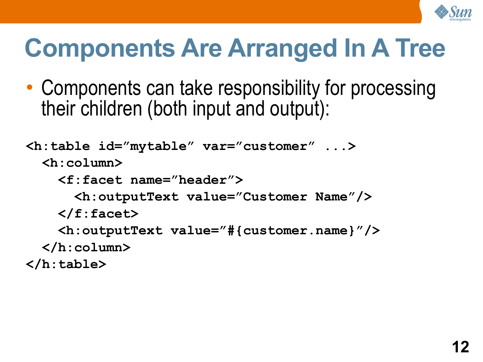

# **Components Are Arranged In A Tree**

• Components can take responsibility for processing their children (both input and output):

**<h:table id="mytable" var="customer" ...>**

**<h:column>**

**<f:facet name="header">**

**<h:outputText value="Customer Name"/>**

**</f:facet>**

```
<h:outputText value="#{customer.name}"/>
```
**</h:column>**

**</h:table>**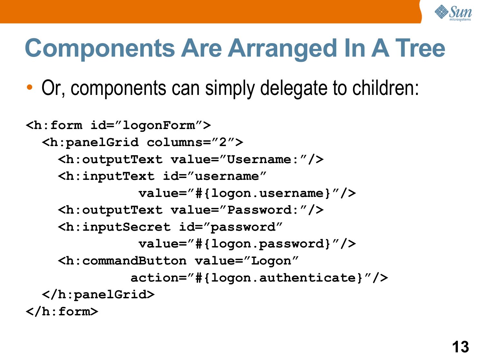

# **Components Are Arranged In A Tree**

• Or, components can simply delegate to children:

```
<h:form id="logonForm">
  <h:panelGrid columns="2">
    <h:outputText value="Username:"/>
    <h:inputText id="username"
              value="#{logon.username}"/>
    <h:outputText value="Password:"/>
    <h:inputSecret id="password"
              value="#{logon.password}"/>
    <h:commandButton value="Logon"
             action="#{logon.authenticate}"/>
 </h:panelGrid>
</h:form>
```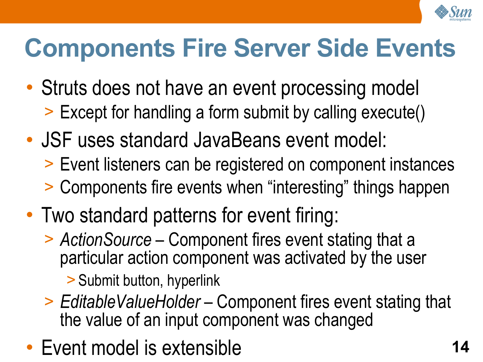

# **Components Fire Server Side Events**

- Struts does not have an event processing model > Except for handling a form submit by calling execute()
- JSF uses standard JavaBeans event model:
	- > Event listeners can be registered on component instances
	- > Components fire events when "interesting" things happen
- Two standard patterns for event firing:
	- > *ActionSource* Component fires event stating that a particular action component was activated by the user

> Submit button, hyperlink

- > *EditableValueHolder* Component fires event stating that the value of an input component was changed
- Event model is extensible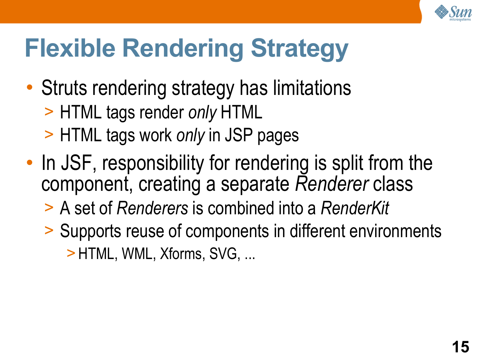

# **Flexible Rendering Strategy**

- Struts rendering strategy has limitations
	- > HTML tags render *only* HTML
	- > HTML tags work *only* in JSP pages
- In JSF, responsibility for rendering is split from the component, creating a separate *Renderer* class
	- > A set of *Renderers* is combined into a *RenderKit*
	- > Supports reuse of components in different environments > HTML, WML, Xforms, SVG, ...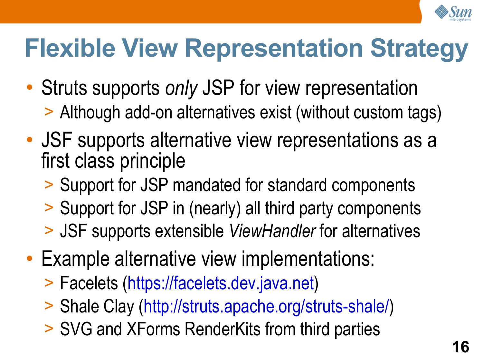

# **Flexible View Representation Strategy**

- Struts supports *only* JSP for view representation > Although add-on alternatives exist (without custom tags)
- JSF supports alternative view representations as a first class principle
	- > Support for JSP mandated for standard components
	- > Support for JSP in (nearly) all third party components
	- > JSF supports extensible *ViewHandler* for alternatives
- Example alternative view implementations:
	- > Facelets [\(https://facelets.dev.java.net\)](https://facelets.dev.java.net/)
	- > Shale Clay [\(http://struts.apache.org/struts-shale/](http://struts.apache.org/struts-shale/))
	- > SVG and XForms RenderKits from third parties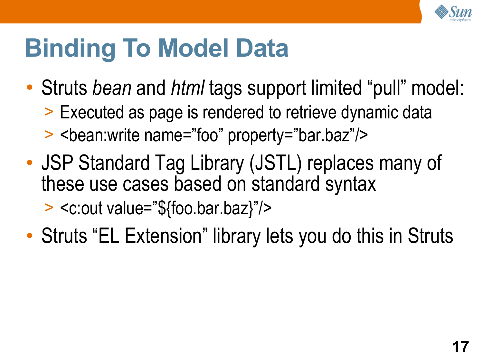

## **Binding To Model Data**

- Struts *bean* and *html* tags support limited "pull" model: > Executed as page is rendered to retrieve dynamic data > <bean:write name="foo" property="bar.baz"/>
- JSP Standard Tag Library (JSTL) replaces many of these use cases based on standard syntax > <c:out value="\${foo.bar.baz}"/>
- Struts "EL Extension" library lets you do this in Struts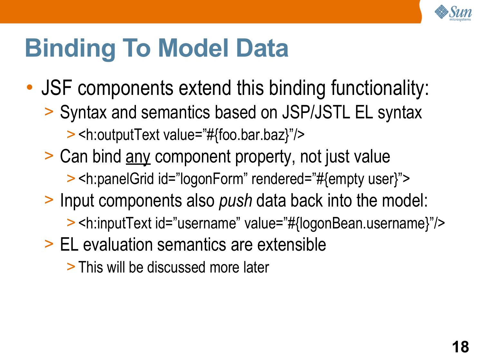

# **Binding To Model Data**

- JSF components extend this binding functionality:
	- > Syntax and semantics based on JSP/JSTL EL syntax > <h:outputText value="#{foo.bar.baz}"/>
	- > Can bind any component property, not just value
		- > <h:panelGrid id="logonForm" rendered="#{empty user}">
	- > Input components also *push* data back into the model:
		- > <h:inputText id="username" value="#{logonBean.username}"/>
	- > EL evaluation semantics are extensible
		- > This will be discussed more later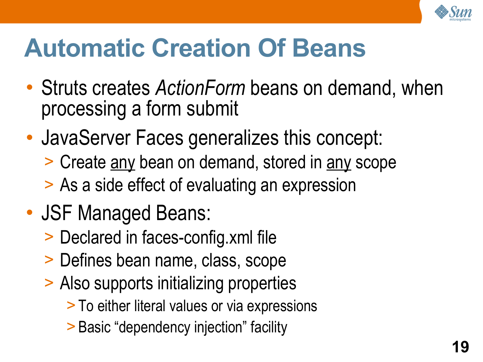

## **Automatic Creation Of Beans**

- Struts creates *ActionForm* beans on demand, when processing a form submit
- JavaServer Faces generalizes this concept:
	- > Create any bean on demand, stored in any scope
	- > As a side effect of evaluating an expression
- JSF Managed Beans:
	- > Declared in faces-config.xml file
	- > Defines bean name, class, scope
	- > Also supports initializing properties
		- > To either literal values or via expressions
		- > Basic "dependency injection" facility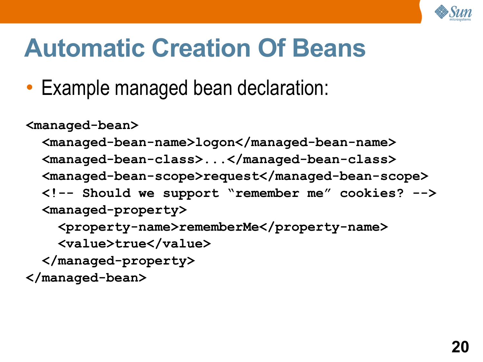

### **Automatic Creation Of Beans**

• Example managed bean declaration:

**<managed-bean>**

**<managed-bean-name>logon</managed-bean-name> <managed-bean-class>...</managed-bean-class>**

**<managed-bean-scope>request</managed-bean-scope>**

**<!-- Should we support "remember me" cookies? --> <managed-property>**

**<property-name>rememberMe</property-name>**

**<value>true</value>**

**</managed-property>**

**</managed-bean>**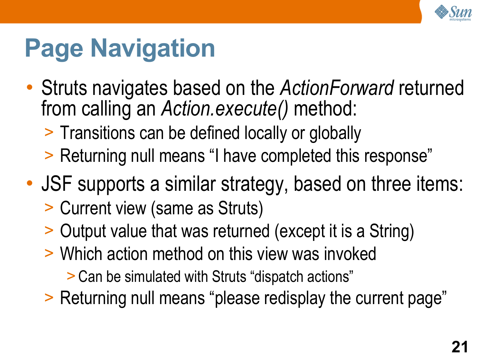

## **Page Navigation**

- Struts navigates based on the *ActionForward* returned from calling an *Action.execute()* method:
	- > Transitions can be defined locally or globally
	- > Returning null means "I have completed this response"
- JSF supports a similar strategy, based on three items: > Current view (same as Struts)
	- > Output value that was returned (except it is a String)
	- > Which action method on this view was invoked
		- > Can be simulated with Struts "dispatch actions"
	- > Returning null means "please redisplay the current page"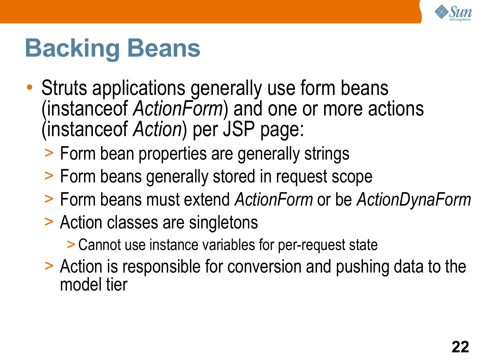

# **Backing Beans**

- Struts applications generally use form beans (instanceof *ActionForm*) and one or more actions (instanceof *Action*) per JSP page:
	- > Form bean properties are generally strings
	- > Form beans generally stored in request scope
	- > Form beans must extend *ActionForm* or be *ActionDynaForm*
	- > Action classes are singletons
		- > Cannot use instance variables for per-request state
	- > Action is responsible for conversion and pushing data to the model tier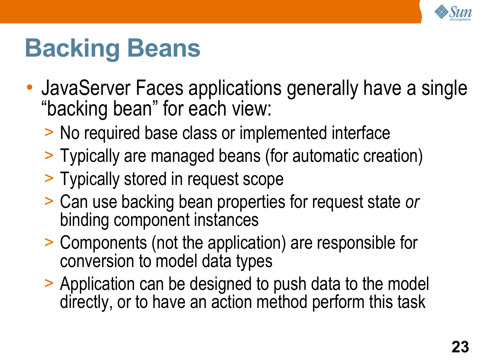

### **Backing Beans**

- JavaServer Faces applications generally have a single "backing bean" for each view:
	- > No required base class or implemented interface
	- > Typically are managed beans (for automatic creation)
	- > Typically stored in request scope
	- > Can use backing bean properties for request state *or* binding component instances
	- > Components (not the application) are responsible for conversion to model data types
	- > Application can be designed to push data to the model directly, or to have an action method perform this task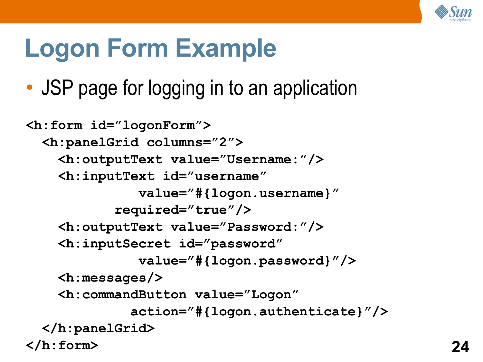

• JSP page for logging in to an application

```
<h:form id="logonForm">
  <h:panelGrid columns="2">
    <h:outputText value="Username:"/>
    <h:inputText id="username"
              value="#{logon.username}"
           required="true"/>
    <h:outputText value="Password:"/>
    <h:inputSecret id="password"
              value="#{logon.password}"/>
    <h:messages/>
    <h:commandButton value="Logon"
             action="#{logon.authenticate}"/>
 </h:panelGrid>
</h:form>
```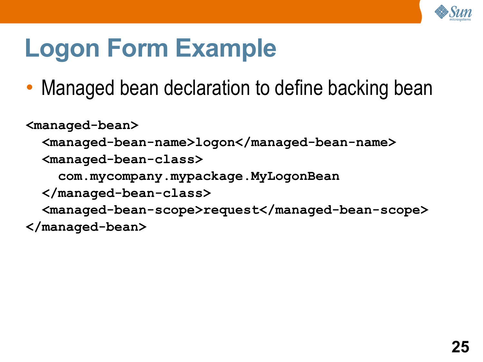

• Managed bean declaration to define backing bean

**<managed-bean> <managed-bean-name>logon</managed-bean-name> <managed-bean-class> com.mycompany.mypackage.MyLogonBean </managed-bean-class> <managed-bean-scope>request</managed-bean-scope> </managed-bean>**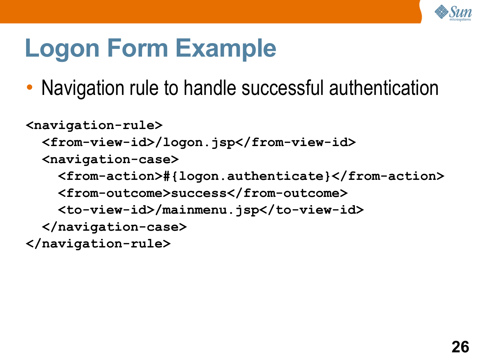

• Navigation rule to handle successful authentication

```
<navigation-rule>
  <from-view-id>/logon.jsp</from-view-id>
  <navigation-case>
    <from-action>#{logon.authenticate}</from-action>
    <from-outcome>success</from-outcome>
    <to-view-id>/mainmenu.jsp</to-view-id>
 </navigation-case>
</navigation-rule>
```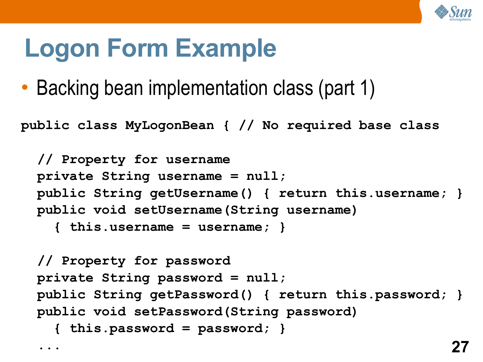

• Backing bean implementation class (part 1)

**public class MyLogonBean { // No required base class**

```
// Property for username
private String username = null;
public String getUsername() { return this.username; }
public void setUsername(String username)
  { this.username = username; }
// Property for password
private String password = null;
```

```
public String getPassword() { return this.password; }
public void setPassword(String password)
```

```
{ this.password = password; }
```
**...**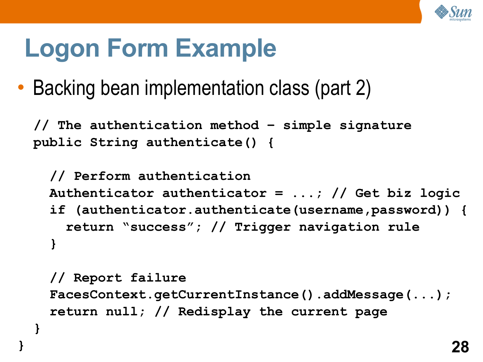

**}**

**}**

• Backing bean implementation class (part 2)

**// The authentication method – simple signature public String authenticate() {**

**// Perform authentication Authenticator authenticator = ...; // Get biz logic if (authenticator.authenticate(username,password)) { return "success"; // Trigger navigation rule }**

```
// Report failure
FacesContext.getCurrentInstance().addMessage(...);
return null; // Redisplay the current page
```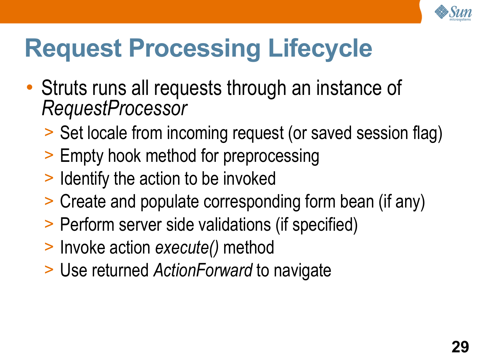

# **Request Processing Lifecycle**

- Struts runs all requests through an instance of *RequestProcessor*
	- > Set locale from incoming request (or saved session flag)
	- > Empty hook method for preprocessing
	- > Identify the action to be invoked
	- > Create and populate corresponding form bean (if any)
	- > Perform server side validations (if specified)
	- > Invoke action *execute()* method
	- > Use returned *ActionForward* to navigate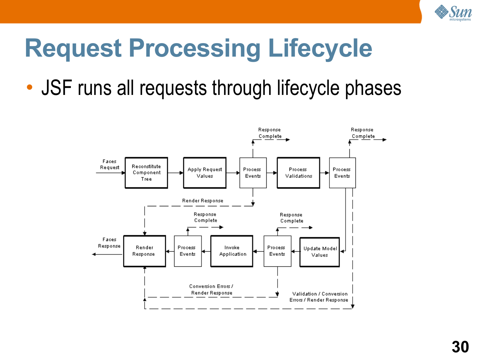

#### **Request Processing Lifecycle**

• JSF runs all requests through lifecycle phases

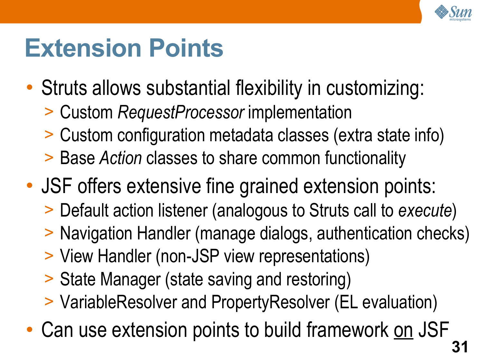

#### **Extension Points**

- Struts allows substantial flexibility in customizing:
	- > Custom *RequestProcessor* implementation
	- > Custom configuration metadata classes (extra state info)
	- > Base *Action* classes to share common functionality
- JSF offers extensive fine grained extension points:
	- > Default action listener (analogous to Struts call to *execute*)
	- > Navigation Handler (manage dialogs, authentication checks)
	- > View Handler (non-JSP view representations)
	- > State Manager (state saving and restoring)
	- > VariableResolver and PropertyResolver (EL evaluation)
- Can use extension points to build framework on JSF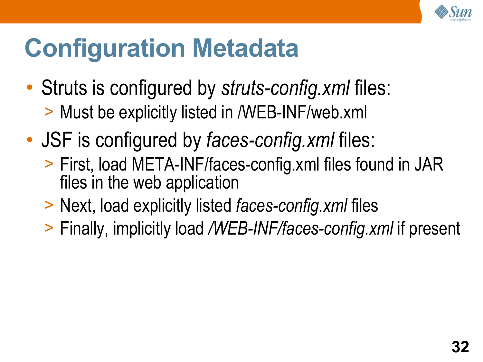

#### **Configuration Metadata**

- Struts is configured by *struts-config.xml* files: > Must be explicitly listed in /WEB-INF/web.xml
- JSF is configured by *faces-config.xml* files:
	- > First, load META-INF/faces-config.xml files found in JAR files in the web application
	- > Next, load explicitly listed *faces-config.xml* files
	- > Finally, implicitly load */WEB-INF/faces-config.xml* if present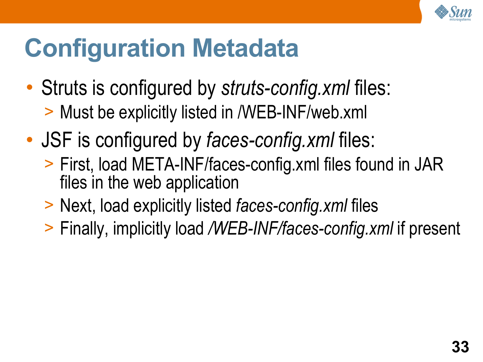

#### **Configuration Metadata**

- Struts is configured by *struts-config.xml* files: > Must be explicitly listed in /WEB-INF/web.xml
- JSF is configured by *faces-config.xml* files:
	- > First, load META-INF/faces-config.xml files found in JAR files in the web application
	- > Next, load explicitly listed *faces-config.xml* files
	- > Finally, implicitly load */WEB-INF/faces-config.xml* if present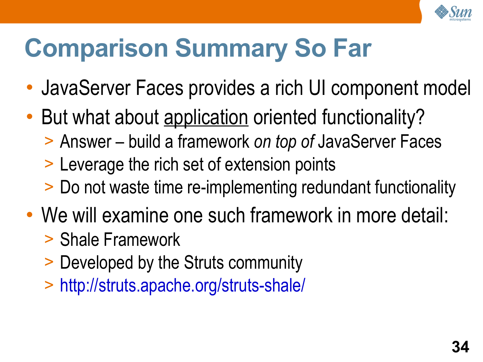

# **Comparison Summary So Far**

- JavaServer Faces provides a rich UI component model
- But what about application oriented functionality?
	- > Answer build a framework *on top of* JavaServer Faces
	- > Leverage the rich set of extension points
	- > Do not waste time re-implementing redundant functionality
- We will examine one such framework in more detail:
	- > Shale Framework
	- > Developed by the Struts community
	- > <http://struts.apache.org/struts-shale/>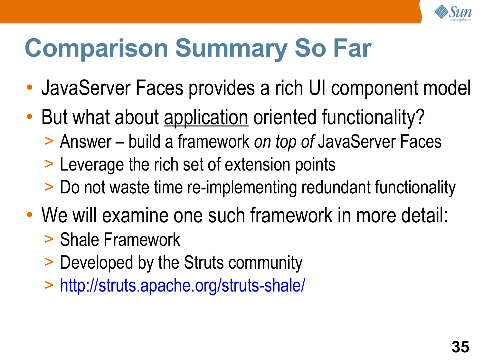

# **Comparison Summary So Far**

- JavaServer Faces provides a rich UI component model
- But what about application oriented functionality?
	- > Answer build a framework *on top of* JavaServer Faces
	- > Leverage the rich set of extension points
	- > Do not waste time re-implementing redundant functionality
- We will examine one such framework in more detail:
	- > Shale Framework
	- > Developed by the Struts community
	- > <http://struts.apache.org/struts-shale/>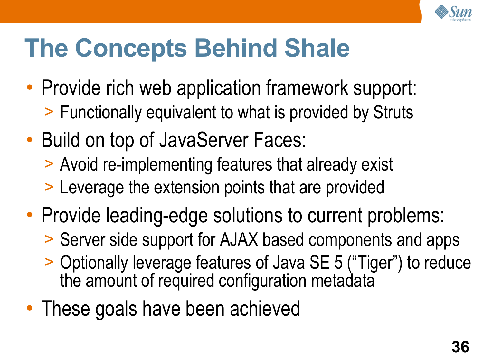

# **The Concepts Behind Shale**

- Provide rich web application framework support: > Functionally equivalent to what is provided by Struts
- Build on top of JavaServer Faces:
	- > Avoid re-implementing features that already exist
	- > Leverage the extension points that are provided
- Provide leading-edge solutions to current problems:
	- > Server side support for AJAX based components and apps
	- > Optionally leverage features of Java SE 5 ("Tiger") to reduce the amount of required configuration metadata
- These goals have been achieved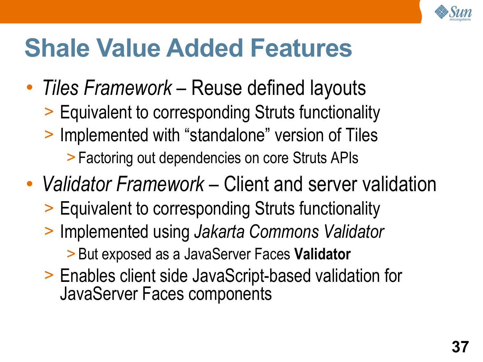

- *Tiles Framework* Reuse defined layouts
	- > Equivalent to corresponding Struts functionality
	- > Implemented with "standalone" version of Tiles
		- > Factoring out dependencies on core Struts APIs
- *Validator Framework* Client and server validation
	- > Equivalent to corresponding Struts functionality
	- > Implemented using *Jakarta Commons Validator*
		- > But exposed as a JavaServer Faces **Validator**
	- > Enables client side JavaScript-based validation for JavaServer Faces components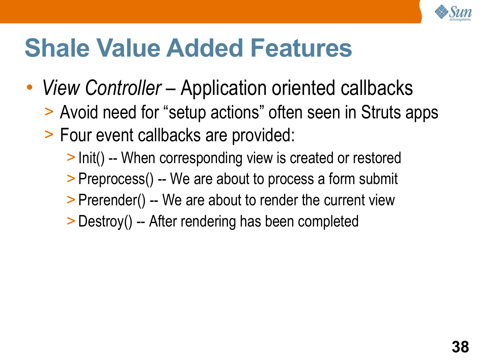

- *View Controller* Application oriented callbacks
	- > Avoid need for "setup actions" often seen in Struts apps
	- > Four event callbacks are provided:
		- > Init() -- When corresponding view is created or restored
		- > Preprocess() -- We are about to process a form submit
		- > Prerender() -- We are about to render the current view
		- > Destroy() -- After rendering has been completed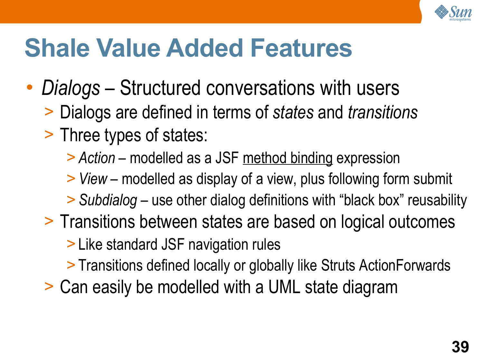

- *Dialogs* Structured conversations with users
	- > Dialogs are defined in terms of *states* and *transitions*
	- > Three types of states:
		- > *Action* modelled as a JSF method binding expression
		- > *View* modelled as display of a view, plus following form submit
		- > *Subdialog* use other dialog definitions with "black box" reusability
	- > Transitions between states are based on logical outcomes

> Like standard JSF navigation rules

> Transitions defined locally or globally like Struts ActionForwards

> Can easily be modelled with a UML state diagram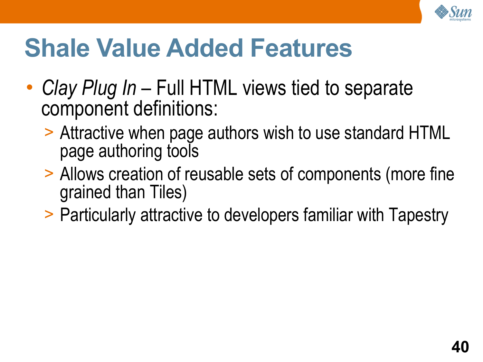

- *Clay Plug In* Full HTML views tied to separate component definitions:
	- > Attractive when page authors wish to use standard HTML page authoring tools
	- > Allows creation of reusable sets of components (more fine grained than Tiles)
	- > Particularly attractive to developers familiar with Tapestry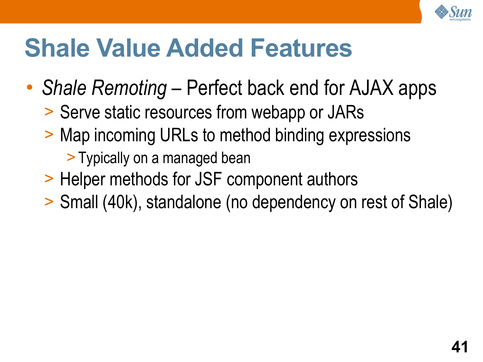

- *Shale Remoting* Perfect back end for AJAX apps
	- > Serve static resources from webapp or JARs
	- > Map incoming URLs to method binding expressions
		- > Typically on a managed bean
	- > Helper methods for JSF component authors
	- > Small (40k), standalone (no dependency on rest of Shale)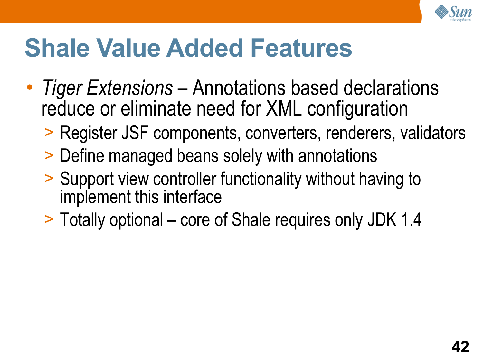

- *Tiger Extensions* Annotations based declarations reduce or eliminate need for XML configuration
	- > Register JSF components, converters, renderers, validators
	- > Define managed beans solely with annotations
	- > Support view controller functionality without having to implement this interface
	- > Totally optional core of Shale requires only JDK 1.4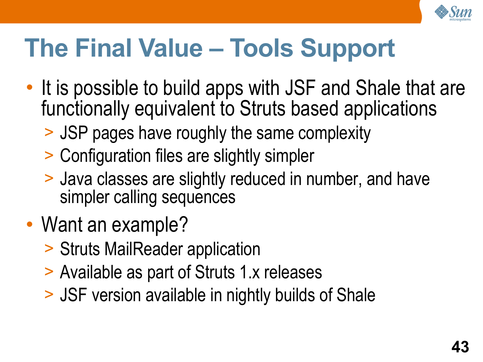

### **The Final Value – Tools Support**

- It is possible to build apps with JSF and Shale that are functionally equivalent to Struts based applications
	- > JSP pages have roughly the same complexity
	- > Configuration files are slightly simpler
	- > Java classes are slightly reduced in number, and have simpler calling sequences
- Want an example?
	- > Struts MailReader application
	- > Available as part of Struts 1.x releases
	- > JSF version available in nightly builds of Shale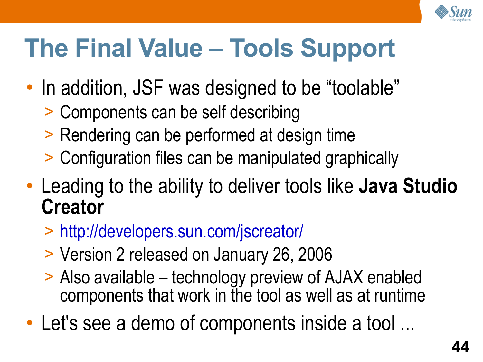

# **The Final Value – Tools Support**

- In addition, JSF was designed to be "toolable"
	- > Components can be self describing
	- > Rendering can be performed at design time
	- > Configuration files can be manipulated graphically
- Leading to the ability to deliver tools like **Java Studio Creator**
	- > <http://developers.sun.com/jscreator/>
	- > Version 2 released on January 26, 2006
	- > Also available technology preview of AJAX enabled components that work in the tool as well as at runtime
- Let's see a demo of components inside a tool ...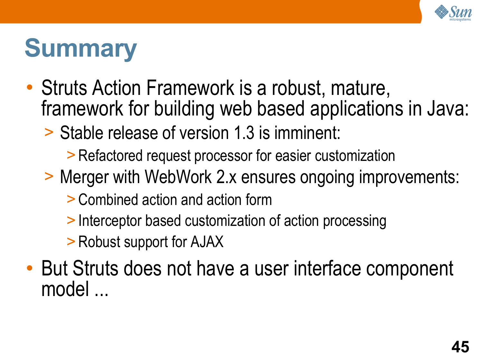

## **Summary**

- Struts Action Framework is a robust, mature, framework for building web based applications in Java:
	- > Stable release of version 1.3 is imminent:
		- > Refactored request processor for easier customization
	- > Merger with WebWork 2.x ensures ongoing improvements:
		- > Combined action and action form
		- > Interceptor based customization of action processing
		- > Robust support for AJAX
- But Struts does not have a user interface component model ...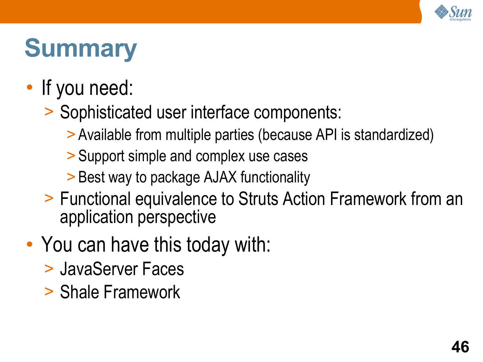

# **Summary**

- If you need:
	- > Sophisticated user interface components:
		- > Available from multiple parties (because API is standardized)
		- > Support simple and complex use cases
		- > Best way to package AJAX functionality
	- > Functional equivalence to Struts Action Framework from an application perspective
- You can have this today with:
	- > JavaServer Faces
	- > Shale Framework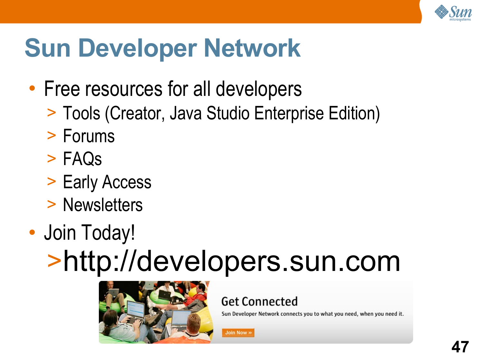

#### **Sun Developer Network**

- Free resources for all developers
	- > Tools (Creator, Java Studio Enterprise Edition)
	- > Forums
	- > FAQs
	- > Early Access
	- > Newsletters
- Join Today! >http://developers.sun.com



#### **Get Connected**

**Join Now »** 

Sun Developer Network connects you to what you need, when you need it.